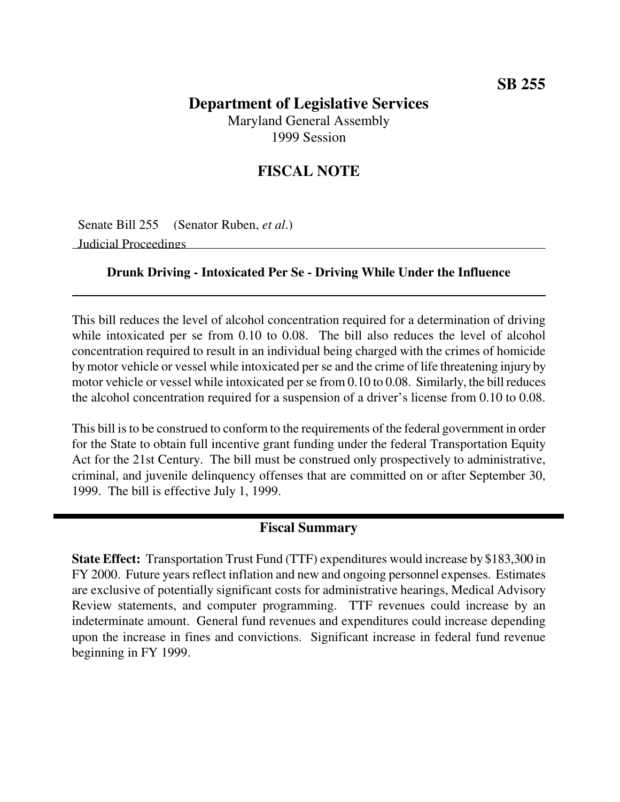## **Department of Legislative Services** Maryland General Assembly

1999 Session

# **FISCAL NOTE**

Senate Bill 255 (Senator Ruben, *et al*.)

Judicial Proceedings

### **Drunk Driving - Intoxicated Per Se - Driving While Under the Influence**

This bill reduces the level of alcohol concentration required for a determination of driving while intoxicated per se from 0.10 to 0.08. The bill also reduces the level of alcohol concentration required to result in an individual being charged with the crimes of homicide by motor vehicle or vessel while intoxicated per se and the crime of life threatening injury by motor vehicle or vessel while intoxicated per se from 0.10 to 0.08. Similarly, the bill reduces the alcohol concentration required for a suspension of a driver's license from 0.10 to 0.08.

This bill is to be construed to conform to the requirements of the federal government in order for the State to obtain full incentive grant funding under the federal Transportation Equity Act for the 21st Century. The bill must be construed only prospectively to administrative, criminal, and juvenile delinquency offenses that are committed on or after September 30, 1999. The bill is effective July 1, 1999.

## **Fiscal Summary**

**State Effect:** Transportation Trust Fund (TTF) expenditures would increase by \$183,300 in FY 2000. Future years reflect inflation and new and ongoing personnel expenses. Estimates are exclusive of potentially significant costs for administrative hearings, Medical Advisory Review statements, and computer programming. TTF revenues could increase by an indeterminate amount. General fund revenues and expenditures could increase depending upon the increase in fines and convictions. Significant increase in federal fund revenue beginning in FY 1999.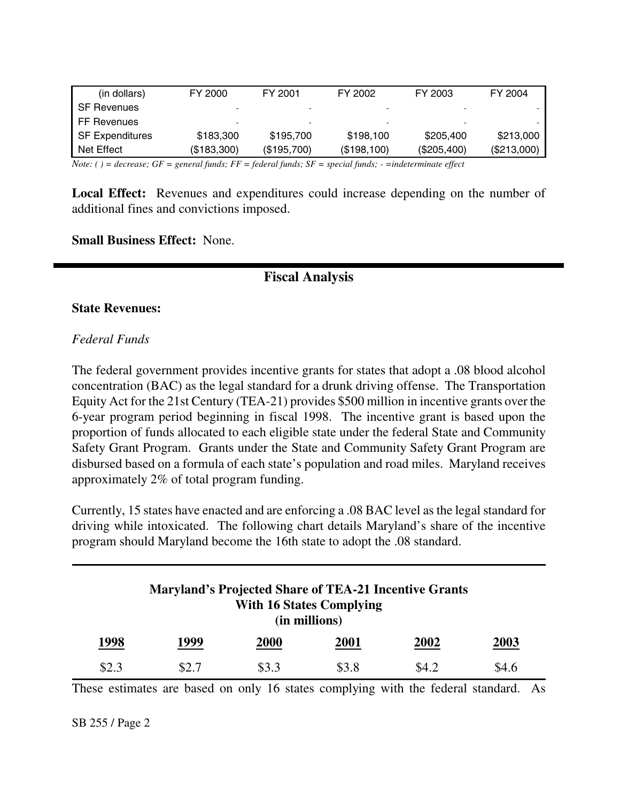| (in dollars)           | FY 2000     | FY 2001     | FY 2002     | FY 2003     | FY 2004     |
|------------------------|-------------|-------------|-------------|-------------|-------------|
| <b>SF Revenues</b>     |             |             |             |             |             |
| FF Revenues            | -           |             |             |             |             |
| <b>SF Expenditures</b> | \$183,300   | \$195,700   | \$198,100   | \$205,400   | \$213,000   |
| Net Effect             | (\$183,300) | (\$195,700) | (\$198,100) | (\$205,400) | (\$213,000) |

Note: () = decrease; GF = general funds; FF = federal funds; SF = special funds; - = indeterminate effect

**Local Effect:** Revenues and expenditures could increase depending on the number of additional fines and convictions imposed.

**Small Business Effect:** None.

## **Fiscal Analysis**

#### **State Revenues:**

#### *Federal Funds*

The federal government provides incentive grants for states that adopt a .08 blood alcohol concentration (BAC) as the legal standard for a drunk driving offense. The Transportation Equity Act for the 21st Century (TEA-21) provides \$500 million in incentive grants over the 6-year program period beginning in fiscal 1998. The incentive grant is based upon the proportion of funds allocated to each eligible state under the federal State and Community Safety Grant Program. Grants under the State and Community Safety Grant Program are disbursed based on a formula of each state's population and road miles. Maryland receives approximately 2% of total program funding.

Currently, 15 states have enacted and are enforcing a .08 BAC level as the legal standard for driving while intoxicated. The following chart details Maryland's share of the incentive program should Maryland become the 16th state to adopt the .08 standard.

| <b>Maryland's Projected Share of TEA-21 Incentive Grants</b><br><b>With 16 States Complying</b><br>(in millions) |      |             |             |             |             |
|------------------------------------------------------------------------------------------------------------------|------|-------------|-------------|-------------|-------------|
| 1998                                                                                                             | 1999 | <b>2000</b> | <b>2001</b> | <b>2002</b> | <b>2003</b> |
| \$2.3                                                                                                            | S2.7 | \$3.3       | \$3.8       | \$4.2       | \$4.6       |

These estimates are based on only 16 states complying with the federal standard. As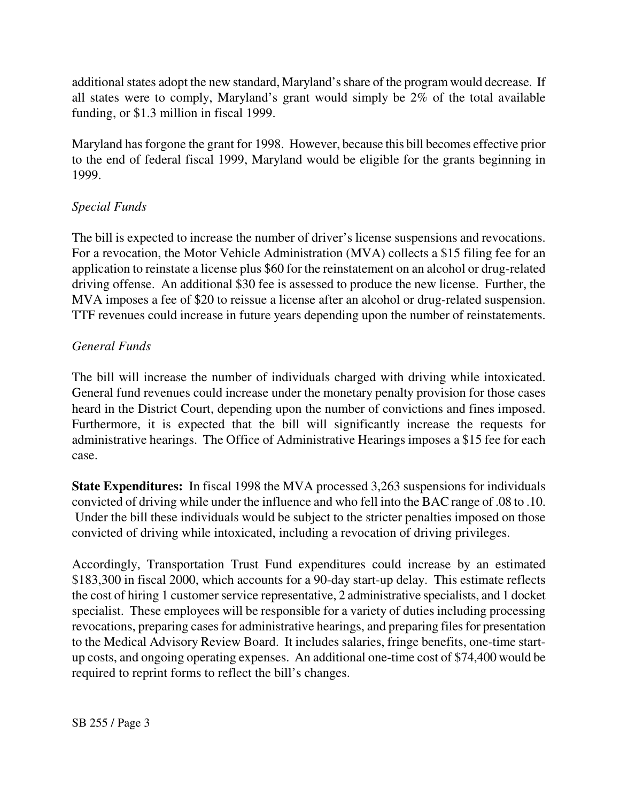additional states adopt the new standard, Maryland's share of the program would decrease. If all states were to comply, Maryland's grant would simply be 2% of the total available funding, or \$1.3 million in fiscal 1999.

Maryland has forgone the grant for 1998. However, because this bill becomes effective prior to the end of federal fiscal 1999, Maryland would be eligible for the grants beginning in 1999.

### *Special Funds*

The bill is expected to increase the number of driver's license suspensions and revocations. For a revocation, the Motor Vehicle Administration (MVA) collects a \$15 filing fee for an application to reinstate a license plus \$60 for the reinstatement on an alcohol or drug-related driving offense. An additional \$30 fee is assessed to produce the new license. Further, the MVA imposes a fee of \$20 to reissue a license after an alcohol or drug-related suspension. TTF revenues could increase in future years depending upon the number of reinstatements.

### *General Funds*

The bill will increase the number of individuals charged with driving while intoxicated. General fund revenues could increase under the monetary penalty provision for those cases heard in the District Court, depending upon the number of convictions and fines imposed. Furthermore, it is expected that the bill will significantly increase the requests for administrative hearings. The Office of Administrative Hearings imposes a \$15 fee for each case.

**State Expenditures:** In fiscal 1998 the MVA processed 3,263 suspensions for individuals convicted of driving while under the influence and who fell into the BAC range of .08 to .10. Under the bill these individuals would be subject to the stricter penalties imposed on those convicted of driving while intoxicated, including a revocation of driving privileges.

Accordingly, Transportation Trust Fund expenditures could increase by an estimated \$183,300 in fiscal 2000, which accounts for a 90-day start-up delay. This estimate reflects the cost of hiring 1 customer service representative, 2 administrative specialists, and 1 docket specialist. These employees will be responsible for a variety of duties including processing revocations, preparing cases for administrative hearings, and preparing files for presentation to the Medical Advisory Review Board. It includes salaries, fringe benefits, one-time startup costs, and ongoing operating expenses. An additional one-time cost of \$74,400 would be required to reprint forms to reflect the bill's changes.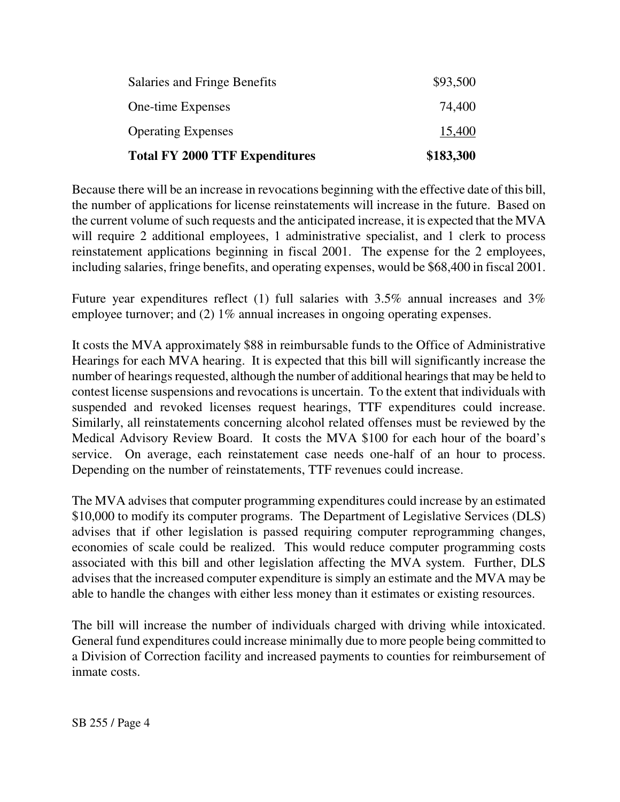| <b>Total FY 2000 TTF Expenditures</b> | \$183,300 |
|---------------------------------------|-----------|
| <b>Operating Expenses</b>             | 15,400    |
| One-time Expenses                     | 74,400    |
| Salaries and Fringe Benefits          | \$93,500  |

Because there will be an increase in revocations beginning with the effective date of this bill, the number of applications for license reinstatements will increase in the future. Based on the current volume of such requests and the anticipated increase, it is expected that the MVA will require 2 additional employees, 1 administrative specialist, and 1 clerk to process reinstatement applications beginning in fiscal 2001. The expense for the 2 employees, including salaries, fringe benefits, and operating expenses, would be \$68,400 in fiscal 2001.

Future year expenditures reflect (1) full salaries with 3.5% annual increases and 3% employee turnover; and (2) 1% annual increases in ongoing operating expenses.

It costs the MVA approximately \$88 in reimbursable funds to the Office of Administrative Hearings for each MVA hearing. It is expected that this bill will significantly increase the number of hearings requested, although the number of additional hearings that may be held to contest license suspensions and revocations is uncertain. To the extent that individuals with suspended and revoked licenses request hearings, TTF expenditures could increase. Similarly, all reinstatements concerning alcohol related offenses must be reviewed by the Medical Advisory Review Board. It costs the MVA \$100 for each hour of the board's service. On average, each reinstatement case needs one-half of an hour to process. Depending on the number of reinstatements, TTF revenues could increase.

The MVA advises that computer programming expenditures could increase by an estimated \$10,000 to modify its computer programs. The Department of Legislative Services (DLS) advises that if other legislation is passed requiring computer reprogramming changes, economies of scale could be realized. This would reduce computer programming costs associated with this bill and other legislation affecting the MVA system. Further, DLS advises that the increased computer expenditure is simply an estimate and the MVA may be able to handle the changes with either less money than it estimates or existing resources.

The bill will increase the number of individuals charged with driving while intoxicated. General fund expenditures could increase minimally due to more people being committed to a Division of Correction facility and increased payments to counties for reimbursement of inmate costs.